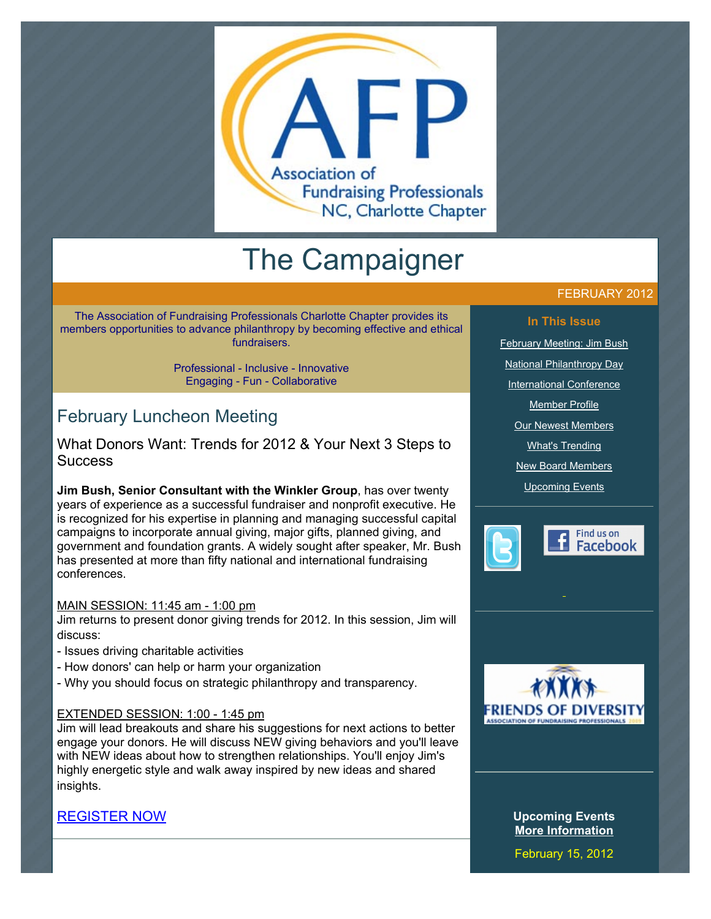

# The Campaigner

The Association of Fundraising Professionals Charlotte Chapter provides its members opportunities to advance philanthropy by becoming effective and ethical fundraisers.

> Professional - Inclusive - Innovative Engaging - Fun - Collaborative

# February Luncheon Meeting

What Donors Want: Trends for 2012 & Your Next 3 Steps to **Success** 

**Jim Bush, Senior Consultant with the Winkler Group**, has over twenty years of experience as a successful fundraiser and nonprofit executive. He is recognized for his expertise in planning and managing successful capital campaigns to incorporate annual giving, major gifts, planned giving, and government and foundation grants. A widely sought after speaker, Mr. Bush has presented at more than fifty national and international fundraising conferences.

## MAIN SESSION: 11:45 am - 1:00 pm

Jim returns to present donor giving trends for 2012. In this session, Jim will discuss:

- Issues driving charitable activities
- How donors' can help or harm your organization
- Why you should focus on strategic philanthropy and transparency.

## EXTENDED SESSION: 1:00 - 1:45 pm

Jim will lead breakouts and share his suggestions for next actions to better engage your donors. He will discuss NEW giving behaviors and you'll leave with NEW ideas about how to strengthen relationships. You'll enjoy Jim's highly energetic style and walk away inspired by new ideas and shared insights.

## [REGISTER NOW](http://www.afp-charlotte.org/rsvp_details.html?id=3433)

## FEBRUARY 2012

#### **In This Issue**

[February Meeting: Jim Bush](http://archive.constantcontact.com/fs051/1101610725496/archive/1109121308338.html#LETTER.BLOCK6) [National Philanthropy Day](http://archive.constantcontact.com/fs051/1101610725496/archive/1109121308338.html#LETTER.BLOCK10) [International Conference](http://archive.constantcontact.com/fs051/1101610725496/archive/1109121308338.html#LETTER.BLOCK12) [Member Profile](http://archive.constantcontact.com/fs051/1101610725496/archive/1109121308338.html#LETTER.BLOCK14) [Our Newest Members](http://archive.constantcontact.com/fs051/1101610725496/archive/1109121308338.html#LETTER.BLOCK16) [What's Trending](http://archive.constantcontact.com/fs051/1101610725496/archive/1109121308338.html#LETTER.BLOCK18) **[New Board Members](http://archive.constantcontact.com/fs051/1101610725496/archive/1109121308338.html#LETTER.BLOCK20)** [Upcoming Events](http://archive.constantcontact.com/fs051/1101610725496/archive/1109121308338.html#LETTER.BLOCK27)





**Upcoming Events [More Information](http://www.afp-charlotte.org/rsvp.html)**

February 15, 2012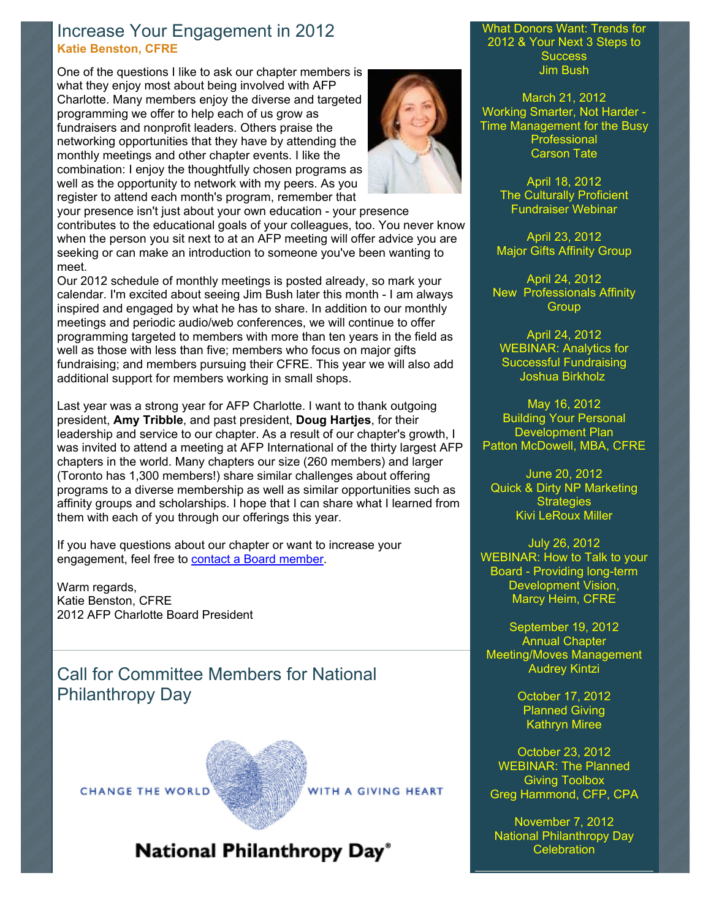## Increase Your Engagement in 2012 **Katie Benston, CFRE**

One of the questions I like to ask our chapter members is what they enjoy most about being involved with AFP Charlotte. Many members enjoy the diverse and targeted programming we offer to help each of us grow as fundraisers and nonprofit leaders. Others praise the networking opportunities that they have by attending the monthly meetings and other chapter events. I like the combination: I enjoy the thoughtfully chosen programs as well as the opportunity to network with my peers. As you register to attend each month's program, remember that



your presence isn't just about your own education - your presence contributes to the educational goals of your colleagues, too. You never know when the person you sit next to at an AFP meeting will offer advice you are seeking or can make an introduction to someone you've been wanting to meet.

Our 2012 schedule of monthly meetings is posted already, so mark your calendar. I'm excited about seeing Jim Bush later this month - I am always inspired and engaged by what he has to share. In addition to our monthly meetings and periodic audio/web conferences, we will continue to offer programming targeted to members with more than ten years in the field as well as those with less than five; members who focus on major gifts fundraising; and members pursuing their CFRE. This year we will also add additional support for members working in small shops.

Last year was a strong year for AFP Charlotte. I want to thank outgoing president, **Amy Tribble**, and past president, **Doug Hartjes**, for their leadership and service to our chapter. As a result of our chapter's growth, I was invited to attend a meeting at AFP International of the thirty largest AFP chapters in the world. Many chapters our size (260 members) and larger (Toronto has 1,300 members!) share similar challenges about offering programs to a diverse membership as well as similar opportunities such as affinity groups and scholarships. I hope that I can share what I learned from them with each of you through our offerings this year.

If you have questions about our chapter or want to increase your engagement, feel free to [contact a Board member.](http://www.afp-charlotte.org/2012board.html)

Warm regards, Katie Benston, CFRE 2012 AFP Charlotte Board President

Call for Committee Members for National Philanthropy Day

**CHANGE THE WORLD** 

*NITH A GIVING HEART* 

National Philanthropy Day®

#### What Donors Want: Trends for 2012 & Your Next 3 Steps to **Success** Jim Bush

March 21, 2012 Working Smarter, Not Harder - Time Management for the Busy **Professional** Carson Tate

> April 18, 2012 The Culturally Proficient Fundraiser Webinar

April 23, 2012 Major Gifts Affinity Group

April 24, 2012 New Professionals Affinity **Group** 

April 24, 2012 WEBINAR: Analytics for Successful Fundraising Joshua Birkholz

May 16, 2012 Building Your Personal Development Plan Patton McDowell, MBA, CFRE

June 20, 2012 Quick & Dirty NP Marketing **Strategies** Kivi LeRoux Miller

July 26, 2012 WEBINAR: How to Talk to your Board - Providing long-term Development Vision, Marcy Heim, CFRE

September 19, 2012 Annual Chapter Meeting/Moves Management Audrey Kintzi

> October 17, 2012 Planned Giving Kathryn Miree

October 23, 2012 WEBINAR: The Planned Giving Toolbox Greg Hammond, CFP, CPA

November 7, 2012 National Philanthropy Day **Celebration**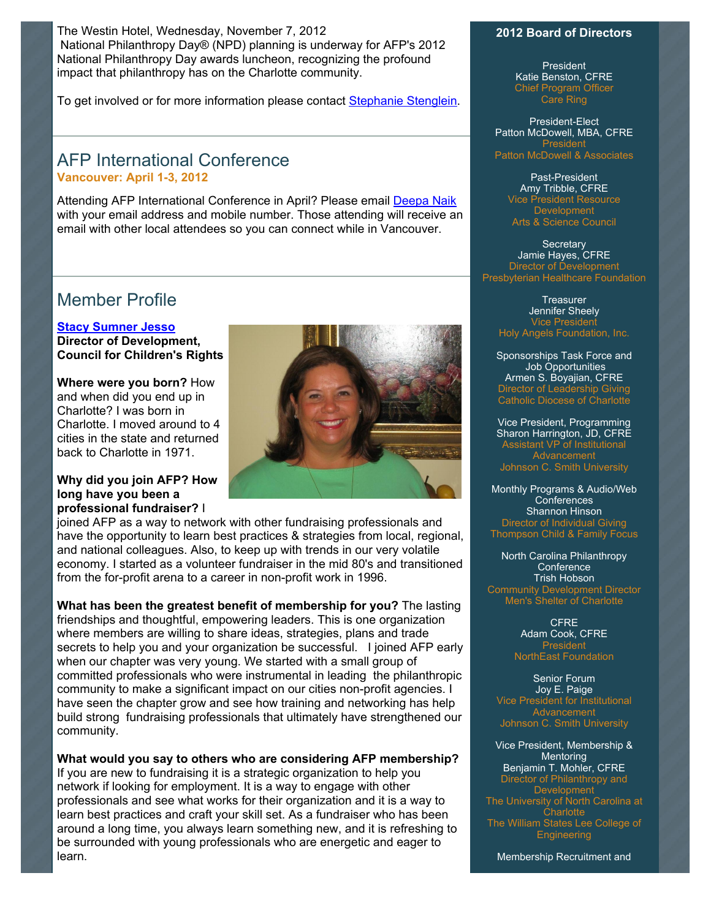The Westin Hotel, Wednesday, November 7, 2012 National Philanthropy Day® (NPD) planning is underway for AFP's 2012 National Philanthropy Day awards luncheon, recognizing the profound impact that philanthropy has on the Charlotte community.

To get involved or for more information please contact **Stephanie Stenglein**.

## AFP International Conference **Vancouver: April 1-3, 2012**

Attending AFP International Conference in April? Please email [Deepa Naik](mailto:dnaik@ufsclt.org?) with your email address and mobile number. Those attending will receive an email with other local attendees so you can connect while in Vancouver.

# Member Profile

**[Stacy Sumner Jesso](mailto:stacy@cfcrights.org?) Director of Development, Council for Children's Rights**

**Where were you born?** How and when did you end up in Charlotte? I was born in Charlotte. I moved around to 4 cities in the state and returned back to Charlotte in 1971.

#### **Why did you join AFP? How long have you been a professional fundraiser?** I



joined AFP as a way to network with other fundraising professionals and have the opportunity to learn best practices & strategies from local, regional, and national colleagues. Also, to keep up with trends in our very volatile economy. I started as a volunteer fundraiser in the mid 80's and transitioned from the for-profit arena to a career in non-profit work in 1996.

**What has been the greatest benefit of membership for you?** The lasting friendships and thoughtful, empowering leaders. This is one organization where members are willing to share ideas, strategies, plans and trade secrets to help you and your organization be successful. I joined AFP early when our chapter was very young. We started with a small group of committed professionals who were instrumental in leading the philanthropic community to make a significant impact on our cities non-profit agencies. I have seen the chapter grow and see how training and networking has help build strong fundraising professionals that ultimately have strengthened our community.

**What would you say to others who are considering AFP membership?** If you are new to fundraising it is a strategic organization to help you

network if looking for employment. It is a way to engage with other professionals and see what works for their organization and it is a way to learn best practices and craft your skill set. As a fundraiser who has been around a long time, you always learn something new, and it is refreshing to be surrounded with young professionals who are energetic and eager to learn.

#### **2012 Board of Directors**

**President** Katie Benston, CFRE Chief Program Officer Care Ring

President-Elect Patton McDowell, MBA, CFRE President Patton McDowell & Associates

> Past-President Amy Tribble, CFRE Vice President Resource Development

**Secretary** Jamie Hayes, CFRE Director of Development Presbyterian Healthcare Foundation

**Treasurer** Jennifer Sheely Vice President Holy Angels Foundation, Inc.

Sponsorships Task Force and Job Opportunities Armen S. Boyajian, CFRE Director of Leadership Giving Catholic Diocese of Charlotte

Vice President, Programming Sharon Harrington, JD, CFRE Assistant VP of Institutional Advancement Johnson C. Smith University

Monthly Programs & Audio/Web **Conferences** Shannon Hinson Director of Individual Giving Thompson Child & Family Focus

North Carolina Philanthropy **Conference** Trish Hobson Community Development Director Men's Shelter of Charlotte

> CFRE Adam Cook, CFRE NorthEast Foundation

Senior Forum Joy E. Paige Vice President for Institutional Johnson C. Smith University

Vice President, Membership & **Mentoring** Benjamin T. Mohler, CFRE Director of Philanthropy and Development The University of North Carolina at **Charlotte** The William States Lee College of Engineering

Membership Recruitment and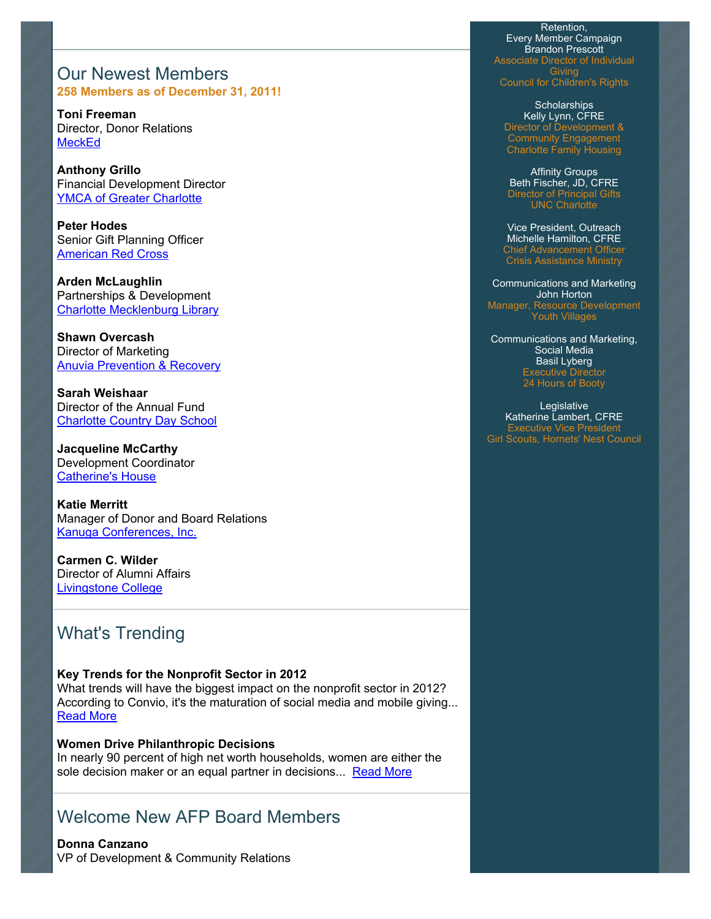Our Newest Members **258 Members as of December 31, 2011!**

**Toni Freeman** Director, Donor Relations **[MeckEd](http://www.mecked.org/)** 

**Anthony Grillo** Financial Development Director **[YMCA of Greater Charlotte](http://www.ymcacharlotte.org/)** 

**Peter Hodes** Senior Gift Planning Officer [American Red Cross](http://www.usa.redcross.org/)

**Arden McLaughlin** Partnerships & Development [Charlotte Mecklenburg Library](http://www.cmlibrary.org/)

**Shawn Overcash** Director of Marketing [Anuvia Prevention & Recovery](http://www.anuiva.org/)

**Sarah Weishaar** Director of the Annual Fund [Charlotte Country Day School](http://www.charlottecountryday.org/)

**Jacqueline McCarthy** Development Coordinator [Catherine's House](http://www.catherineshouseinc.org/)

**Katie Merritt** Manager of Donor and Board Relations [Kanuga Conferences, Inc.](http://www.kanuga.org/)

**Carmen C. Wilder** Director of Alumni Affairs [Livingstone College](http://www.livingstone.edu/)

# What's Trending

#### **Key Trends for the Nonprofit Sector in 2012**

What trends will have the biggest impact on the nonprofit sector in 2012? According to Convio, it's the maturation of social media and mobile giving... [Read More](http://www.afpnet.org/ResourceCenter/ArticleDetail.cfm?ItemNumber=8902)

**Women Drive Philanthropic Decisions** In nearly 90 percent of high net worth households, women are either the sole decision maker or an equal partner in decisions... Read More

# Welcome New AFP Board Members

**Donna Canzano** VP of Development & Community Relations

Retention, Every Member Campaign Brandon Prescott Associate Director of Individual Giving Council for Children's Rights

**Scholarships** Kelly Lynn, CFRE Director of Development & Community Engagement Charlotte Family Housing

Affinity Groups Beth Fischer, JD, CFRE Director of Principal Gifts UNC Charlotte

Vice President, Outreach Michelle Hamilton, CFRE Chief Advancement Officer Crisis Assistance Ministry

Communications and Marketing John Horton Manager, Resource Development Youth Villages

Communications and Marketing, Social Media Basil Lyberg Executive Director 24 Hours of Booty

Legislative Katherine Lambert, CFRE Executive Vice President